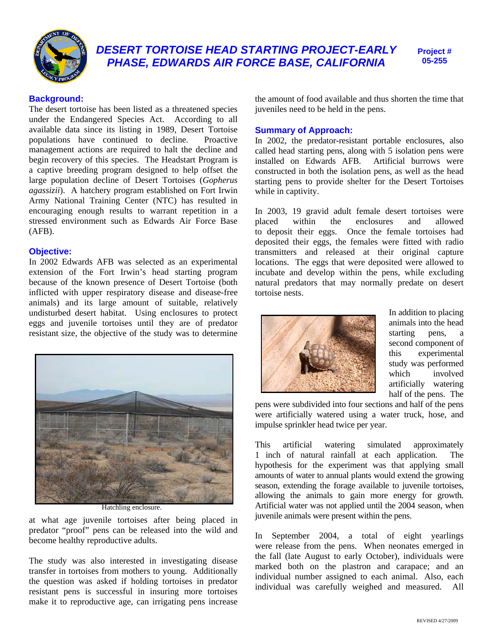

# *DESERT TORTOISE HEAD STARTING PROJECT-EARLY PHASE, EDWARDS AIR FORCE BASE, CALIFORNIA*

**Project # 05-255** 

# **Background:**

The desert tortoise has been listed as a threatened species under the Endangered Species Act. According to all available data since its listing in 1989, Desert Tortoise populations have continued to decline. Proactive management actions are required to halt the decline and begin recovery of this species. The Headstart Program is a captive breeding program designed to help offset the large population decline of Desert Tortoises (*Gopherus agassizii*). A hatchery program established on Fort Irwin Army National Training Center (NTC) has resulted in encouraging enough results to warrant repetition in a stressed environment such as Edwards Air Force Base (AFB).

# **Objective:**

In 2002 Edwards AFB was selected as an experimental extension of the Fort Irwin's head starting program because of the known presence of Desert Tortoise (both inflicted with upper respiratory disease and disease-free animals) and its large amount of suitable, relatively undisturbed desert habitat. Using enclosures to protect eggs and juvenile tortoises until they are of predator resistant size, the objective of the study was to determine



Hatchling enclosure.

at what age juvenile tortoises after being placed in predator "proof" pens can be released into the wild and become healthy reproductive adults.

The study was also interested in investigating disease transfer in tortoises from mothers to young. Additionally the question was asked if holding tortoises in predator resistant pens is successful in insuring more tortoises make it to reproductive age, can irrigating pens increase the amount of food available and thus shorten the time that juveniles need to be held in the pens.

## **Summary of Approach:**

In 2002, the predator-resistant portable enclosures, also called head starting pens, along with 5 isolation pens were<br>installed on Edwards AFB. Artificial burrows were installed on Edwards AFB. constructed in both the isolation pens, as well as the head starting pens to provide shelter for the Desert Tortoises while in captivity.

In 2003, 19 gravid adult female desert tortoises were placed within the enclosures and allowed to deposit their eggs. Once the female tortoises had deposited their eggs, the females were fitted with radio transmitters and released at their original capture locations. The eggs that were deposited were allowed to incubate and develop within the pens, while excluding natural predators that may normally predate on desert tortoise nests.



In addition to placing animals into the head starting pens, a second component of this experimental study was performed which involved artificially watering half of the pens. The

pens were subdivided into four sections and half of the pens were artificially watered using a water truck, hose, and impulse sprinkler head twice per year.

This artificial watering simulated approximately 1 inch of natural rainfall at each application. The hypothesis for the experiment was that applying small amounts of water to annual plants would extend the growing season, extending the forage available to juvenile tortoises, allowing the animals to gain more energy for growth. Artificial water was not applied until the 2004 season, when juvenile animals were present within the pens.

In September 2004, a total of eight yearlings were release from the pens. When neonates emerged in the fall (late August to early October), individuals were marked both on the plastron and carapace; and an individual number assigned to each animal. Also, each individual was carefully weighed and measured. All